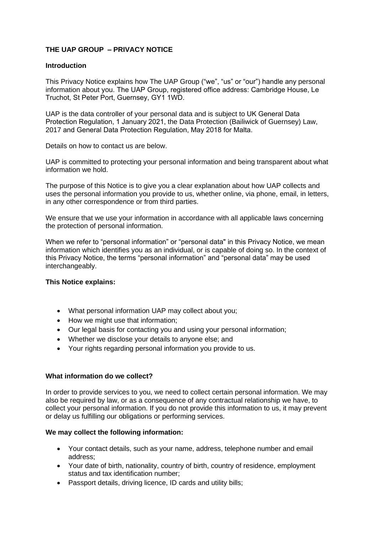# **THE UAP GROUP – PRIVACY NOTICE**

## **Introduction**

This Privacy Notice explains how The UAP Group ("we", "us" or "our") handle any personal information about you. The UAP Group, registered office address: Cambridge House, Le Truchot, St Peter Port, Guernsey, GY1 1WD.

UAP is the data controller of your personal data and is subject to UK General Data Protection Regulation, 1 January 2021, the Data Protection (Bailiwick of Guernsey) Law, 2017 and General Data Protection Regulation, May 2018 for Malta.

Details on how to contact us are below.

UAP is committed to protecting your personal information and being transparent about what information we hold.

The purpose of this Notice is to give you a clear explanation about how UAP collects and uses the personal information you provide to us, whether online, via phone, email, in letters, in any other correspondence or from third parties.

We ensure that we use your information in accordance with all applicable laws concerning the protection of personal information.

When we refer to "personal information" or "personal data" in this Privacy Notice, we mean information which identifies you as an individual, or is capable of doing so. In the context of this Privacy Notice, the terms "personal information" and "personal data" may be used interchangeably.

# **This Notice explains:**

- What personal information UAP may collect about you;
- How we might use that information;
- Our legal basis for contacting you and using your personal information;
- Whether we disclose your details to anyone else; and
- Your rights regarding personal information you provide to us.

### **What information do we collect?**

In order to provide services to you, we need to collect certain personal information. We may also be required by law, or as a consequence of any contractual relationship we have, to collect your personal information. If you do not provide this information to us, it may prevent or delay us fulfilling our obligations or performing services.

### **We may collect the following information:**

- Your contact details, such as your name, address, telephone number and email address;
- Your date of birth, nationality, country of birth, country of residence, employment status and tax identification number;
- Passport details, driving licence, ID cards and utility bills;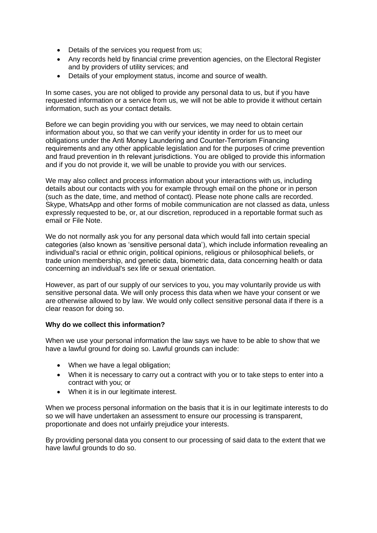- Details of the services you request from us;
- Any records held by financial crime prevention agencies, on the Electoral Register and by providers of utility services; and
- Details of your employment status, income and source of wealth.

In some cases, you are not obliged to provide any personal data to us, but if you have requested information or a service from us, we will not be able to provide it without certain information, such as your contact details.

Before we can begin providing you with our services, we may need to obtain certain information about you, so that we can verify your identity in order for us to meet our obligations under the Anti Money Laundering and Counter-Terrorism Financing requirements and any other applicable legislation and for the purposes of crime prevention and fraud prevention in th relevant jurisdictions. You are obliged to provide this information and if you do not provide it, we will be unable to provide you with our services.

We may also collect and process information about your interactions with us, including details about our contacts with you for example through email on the phone or in person (such as the date, time, and method of contact). Please note phone calls are recorded. Skype, WhatsApp and other forms of mobile communication are not classed as data, unless expressly requested to be, or, at our discretion, reproduced in a reportable format such as email or File Note.

We do not normally ask you for any personal data which would fall into certain special categories (also known as 'sensitive personal data'), which include information revealing an individual's racial or ethnic origin, political opinions, religious or philosophical beliefs, or trade union membership, and genetic data, biometric data, data concerning health or data concerning an individual's sex life or sexual orientation.

However, as part of our supply of our services to you, you may voluntarily provide us with sensitive personal data. We will only process this data when we have your consent or we are otherwise allowed to by law. We would only collect sensitive personal data if there is a clear reason for doing so.

# **Why do we collect this information?**

When we use your personal information the law says we have to be able to show that we have a lawful ground for doing so. Lawful grounds can include:

- When we have a legal obligation;
- When it is necessary to carry out a contract with you or to take steps to enter into a contract with you; or
- When it is in our legitimate interest.

When we process personal information on the basis that it is in our legitimate interests to do so we will have undertaken an assessment to ensure our processing is transparent, proportionate and does not unfairly prejudice your interests.

By providing personal data you consent to our processing of said data to the extent that we have lawful grounds to do so.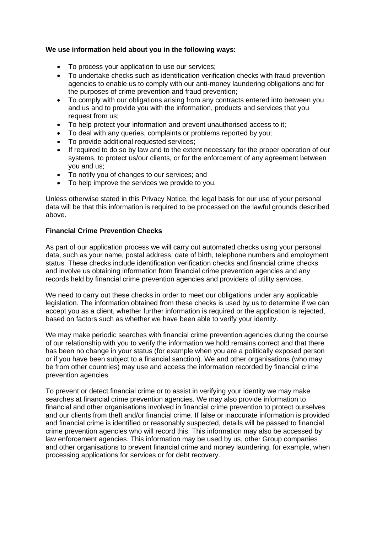# **We use information held about you in the following ways:**

- To process your application to use our services;
- To undertake checks such as identification verification checks with fraud prevention agencies to enable us to comply with our anti-money laundering obligations and for the purposes of crime prevention and fraud prevention;
- To comply with our obligations arising from any contracts entered into between you and us and to provide you with the information, products and services that you request from us;
- To help protect your information and prevent unauthorised access to it;
- To deal with any queries, complaints or problems reported by you;
- To provide additional requested services:
- If required to do so by law and to the extent necessary for the proper operation of our systems, to protect us/our clients, or for the enforcement of any agreement between you and us;
- To notify you of changes to our services; and
- To help improve the services we provide to you.

Unless otherwise stated in this Privacy Notice, the legal basis for our use of your personal data will be that this information is required to be processed on the lawful grounds described above.

# **Financial Crime Prevention Checks**

As part of our application process we will carry out automated checks using your personal data, such as your name, postal address, date of birth, telephone numbers and employment status. These checks include identification verification checks and financial crime checks and involve us obtaining information from financial crime prevention agencies and any records held by financial crime prevention agencies and providers of utility services.

We need to carry out these checks in order to meet our obligations under any applicable legislation. The information obtained from these checks is used by us to determine if we can accept you as a client, whether further information is required or the application is rejected, based on factors such as whether we have been able to verify your identity.

We may make periodic searches with financial crime prevention agencies during the course of our relationship with you to verify the information we hold remains correct and that there has been no change in your status (for example when you are a politically exposed person or if you have been subject to a financial sanction). We and other organisations (who may be from other countries) may use and access the information recorded by financial crime prevention agencies.

To prevent or detect financial crime or to assist in verifying your identity we may make searches at financial crime prevention agencies. We may also provide information to financial and other organisations involved in financial crime prevention to protect ourselves and our clients from theft and/or financial crime. If false or inaccurate information is provided and financial crime is identified or reasonably suspected, details will be passed to financial crime prevention agencies who will record this. This information may also be accessed by law enforcement agencies. This information may be used by us, other Group companies and other organisations to prevent financial crime and money laundering, for example, when processing applications for services or for debt recovery.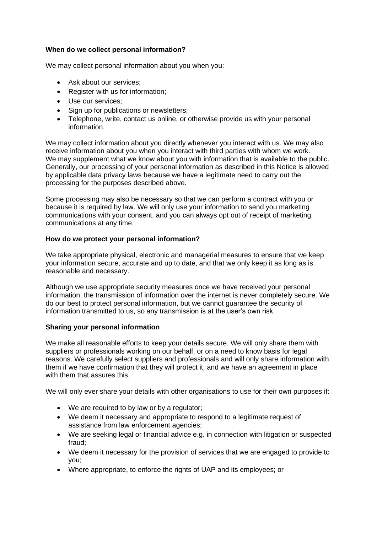# **When do we collect personal information?**

We may collect personal information about you when you:

- Ask about our services:
- Register with us for information;
- Use our services;
- Sign up for publications or newsletters;
- Telephone, write, contact us online, or otherwise provide us with your personal information.

We may collect information about you directly whenever you interact with us. We may also receive information about you when you interact with third parties with whom we work. We may supplement what we know about you with information that is available to the public. Generally, our processing of your personal information as described in this Notice is allowed by applicable data privacy laws because we have a legitimate need to carry out the processing for the purposes described above.

Some processing may also be necessary so that we can perform a contract with you or because it is required by law. We will only use your information to send you marketing communications with your consent, and you can always opt out of receipt of marketing communications at any time.

# **How do we protect your personal information?**

We take appropriate physical, electronic and managerial measures to ensure that we keep your information secure, accurate and up to date, and that we only keep it as long as is reasonable and necessary.

Although we use appropriate security measures once we have received your personal information, the transmission of information over the internet is never completely secure. We do our best to protect personal information, but we cannot guarantee the security of information transmitted to us, so any transmission is at the user's own risk.

# **Sharing your personal information**

We make all reasonable efforts to keep your details secure. We will only share them with suppliers or professionals working on our behalf, or on a need to know basis for legal reasons. We carefully select suppliers and professionals and will only share information with them if we have confirmation that they will protect it, and we have an agreement in place with them that assures this.

We will only ever share your details with other organisations to use for their own purposes if:

- We are required to by law or by a regulator;
- We deem it necessary and appropriate to respond to a legitimate request of assistance from law enforcement agencies;
- We are seeking legal or financial advice e.g. in connection with litigation or suspected fraud;
- We deem it necessary for the provision of services that we are engaged to provide to you;
- Where appropriate, to enforce the rights of UAP and its employees; or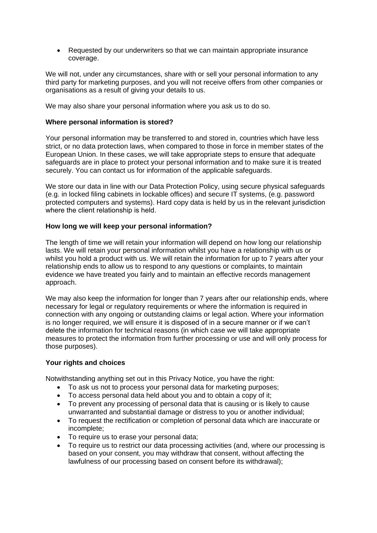• Requested by our underwriters so that we can maintain appropriate insurance coverage.

We will not, under any circumstances, share with or sell your personal information to any third party for marketing purposes, and you will not receive offers from other companies or organisations as a result of giving your details to us.

We may also share your personal information where you ask us to do so.

## **Where personal information is stored?**

Your personal information may be transferred to and stored in, countries which have less strict, or no data protection laws, when compared to those in force in member states of the European Union. In these cases, we will take appropriate steps to ensure that adequate safeguards are in place to protect your personal information and to make sure it is treated securely. You can contact us for information of the applicable safeguards.

We store our data in line with our Data Protection Policy, using secure physical safeguards (e.g. in locked filing cabinets in lockable offices) and secure IT systems, (e.g. password protected computers and systems). Hard copy data is held by us in the relevant jurisdiction where the client relationship is held.

### **How long we will keep your personal information?**

The length of time we will retain your information will depend on how long our relationship lasts. We will retain your personal information whilst you have a relationship with us or whilst you hold a product with us. We will retain the information for up to 7 years after your relationship ends to allow us to respond to any questions or complaints, to maintain evidence we have treated you fairly and to maintain an effective records management approach.

We may also keep the information for longer than 7 years after our relationship ends, where necessary for legal or regulatory requirements or where the information is required in connection with any ongoing or outstanding claims or legal action. Where your information is no longer required, we will ensure it is disposed of in a secure manner or if we can't delete the information for technical reasons (in which case we will take appropriate measures to protect the information from further processing or use and will only process for those purposes).

### **Your rights and choices**

Notwithstanding anything set out in this Privacy Notice, you have the right:

- To ask us not to process your personal data for marketing purposes;
- To access personal data held about you and to obtain a copy of it;
- To prevent any processing of personal data that is causing or is likely to cause unwarranted and substantial damage or distress to you or another individual;
- To request the rectification or completion of personal data which are inaccurate or incomplete;
- To require us to erase your personal data;
- To require us to restrict our data processing activities (and, where our processing is based on your consent, you may withdraw that consent, without affecting the lawfulness of our processing based on consent before its withdrawal);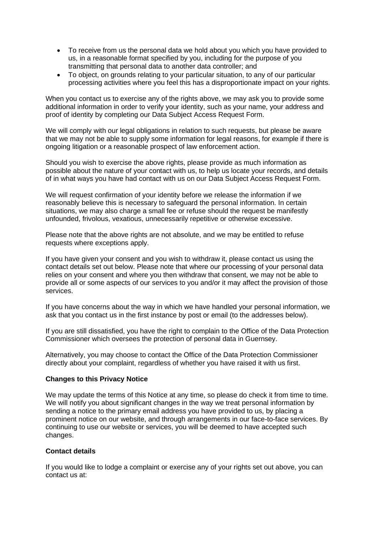- To receive from us the personal data we hold about you which you have provided to us, in a reasonable format specified by you, including for the purpose of you transmitting that personal data to another data controller; and
- To object, on grounds relating to your particular situation, to any of our particular processing activities where you feel this has a disproportionate impact on your rights.

When you contact us to exercise any of the rights above, we may ask you to provide some additional information in order to verify your identity, such as your name, your address and proof of identity by completing our Data Subject Access Request Form.

We will comply with our legal obligations in relation to such requests, but please be aware that we may not be able to supply some information for legal reasons, for example if there is ongoing litigation or a reasonable prospect of law enforcement action.

Should you wish to exercise the above rights, please provide as much information as possible about the nature of your contact with us, to help us locate your records, and details of in what ways you have had contact with us on our Data Subject Access Request Form.

We will request confirmation of your identity before we release the information if we reasonably believe this is necessary to safeguard the personal information. In certain situations, we may also charge a small fee or refuse should the request be manifestly unfounded, frivolous, vexatious, unnecessarily repetitive or otherwise excessive.

Please note that the above rights are not absolute, and we may be entitled to refuse requests where exceptions apply.

If you have given your consent and you wish to withdraw it, please contact us using the contact details set out below. Please note that where our processing of your personal data relies on your consent and where you then withdraw that consent, we may not be able to provide all or some aspects of our services to you and/or it may affect the provision of those services.

If you have concerns about the way in which we have handled your personal information, we ask that you contact us in the first instance by post or email (to the addresses below).

If you are still dissatisfied, you have the right to complain to the Office of the Data Protection Commissioner which oversees the protection of personal data in Guernsey.

Alternatively, you may choose to contact the Office of the Data Protection Commissioner directly about your complaint, regardless of whether you have raised it with us first.

### **Changes to this Privacy Notice**

We may update the terms of this Notice at any time, so please do check it from time to time. We will notify you about significant changes in the way we treat personal information by sending a notice to the primary email address you have provided to us, by placing a prominent notice on our website, and through arrangements in our face-to-face services. By continuing to use our website or services, you will be deemed to have accepted such changes.

# **Contact details**

If you would like to lodge a complaint or exercise any of your rights set out above, you can contact us at: